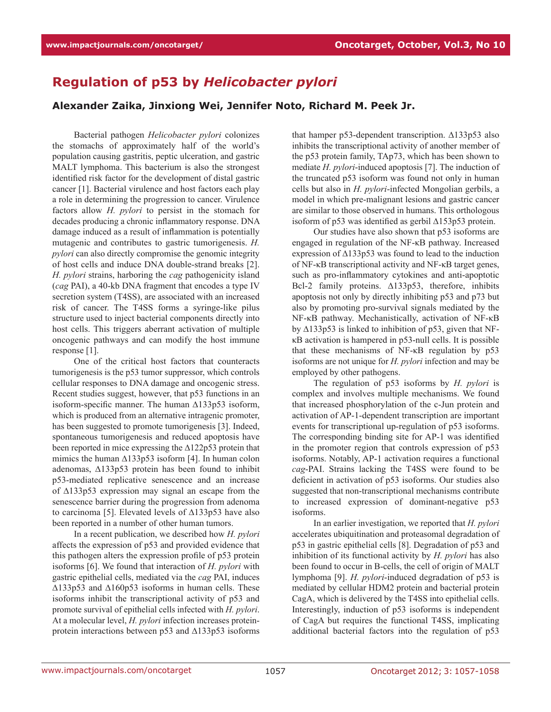## **Regulation of p53 by** *Helicobacter pylori*

## **Alexander Zaika, Jinxiong Wei, Jennifer Noto, Richard M. Peek Jr.**

Bacterial pathogen *Helicobacter pylori* colonizes the stomachs of approximately half of the world's population causing gastritis, peptic ulceration, and gastric MALT lymphoma. This bacterium is also the strongest identified risk factor for the development of distal gastric cancer [1]. Bacterial virulence and host factors each play a role in determining the progression to cancer. Virulence factors allow *H. pylori* to persist in the stomach for decades producing a chronic inflammatory response. DNA damage induced as a result of inflammation is potentially mutagenic and contributes to gastric tumorigenesis. *H. pylori* can also directly compromise the genomic integrity of host cells and induce DNA double-strand breaks [2]. *H. pylori* strains, harboring the *cag* pathogenicity island (*cag* PAI), a 40-kb DNA fragment that encodes a type IV secretion system (T4SS), are associated with an increased risk of cancer. The T4SS forms a syringe-like pilus structure used to inject bacterial components directly into host cells. This triggers aberrant activation of multiple oncogenic pathways and can modify the host immune response [1].

One of the critical host factors that counteracts tumorigenesis is the p53 tumor suppressor, which controls cellular responses to DNA damage and oncogenic stress. Recent studies suggest, however, that p53 functions in an isoform-specific manner. The human ∆133p53 isoform, which is produced from an alternative intragenic promoter, has been suggested to promote tumorigenesis [3]. Indeed, spontaneous tumorigenesis and reduced apoptosis have been reported in mice expressing the ∆122p53 protein that mimics the human ∆133p53 isoform [4]. In human colon adenomas, ∆133p53 protein has been found to inhibit p53-mediated replicative senescence and an increase of ∆133p53 expression may signal an escape from the senescence barrier during the progression from adenoma to carcinoma [5]. Elevated levels of ∆133p53 have also been reported in a number of other human tumors.

In a recent publication, we described how *H. pylori* affects the expression of p53 and provided evidence that this pathogen alters the expression profile of p53 protein isoforms [6]. We found that interaction of *H. pylori* with gastric epithelial cells, mediated via the *cag* PAI, induces ∆133p53 and ∆160p53 isoforms in human cells. These isoforms inhibit the transcriptional activity of p53 and promote survival of epithelial cells infected with *H. pylori*. At a molecular level, *H. pylori* infection increases proteinprotein interactions between p53 and ∆133p53 isoforms that hamper p53-dependent transcription. ∆133p53 also inhibits the transcriptional activity of another member of the p53 protein family, TAp73, which has been shown to mediate *H. pylori*-induced apoptosis [7]. The induction of the truncated p53 isoform was found not only in human cells but also in *H. pylori*-infected Mongolian gerbils, a model in which pre-malignant lesions and gastric cancer are similar to those observed in humans. This orthologous isoform of p53 was identified as gerbil ∆153p53 protein.

Our studies have also shown that p53 isoforms are engaged in regulation of the NF-κB pathway. Increased expression of ∆133p53 was found to lead to the induction of NF-κB transcriptional activity and NF-κB target genes, such as pro-inflammatory cytokines and anti-apoptotic Bcl-2 family proteins. ∆133p53, therefore, inhibits apoptosis not only by directly inhibiting p53 and p73 but also by promoting pro-survival signals mediated by the NF-κB pathway. Mechanistically, activation of NF-κB by ∆133p53 is linked to inhibition of p53, given that NFκB activation is hampered in p53-null cells. It is possible that these mechanisms of NF-κB regulation by p53 isoforms are not unique for *H. pylori* infection and may be employed by other pathogens.

The regulation of p53 isoforms by *H. pylori* is complex and involves multiple mechanisms. We found that increased phosphorylation of the c-Jun protein and activation of AP-1-dependent transcription are important events for transcriptional up-regulation of p53 isoforms. The corresponding binding site for AP-1 was identified in the promoter region that controls expression of p53 isoforms. Notably, AP-1 activation requires a functional *cag*-PAI. Strains lacking the T4SS were found to be deficient in activation of p53 isoforms. Our studies also suggested that non-transcriptional mechanisms contribute to increased expression of dominant-negative p53 isoforms.

In an earlier investigation, we reported that *H. pylori* accelerates ubiquitination and proteasomal degradation of p53 in gastric epithelial cells [8]. Degradation of p53 and inhibition of its functional activity by *H. pylori* has also been found to occur in B-cells, the cell of origin of MALT lymphoma [9]. *H. pylori*-induced degradation of p53 is mediated by cellular HDM2 protein and bacterial protein CagA, which is delivered by the T4SS into epithelial cells. Interestingly, induction of p53 isoforms is independent of CagA but requires the functional T4SS, implicating additional bacterial factors into the regulation of p53